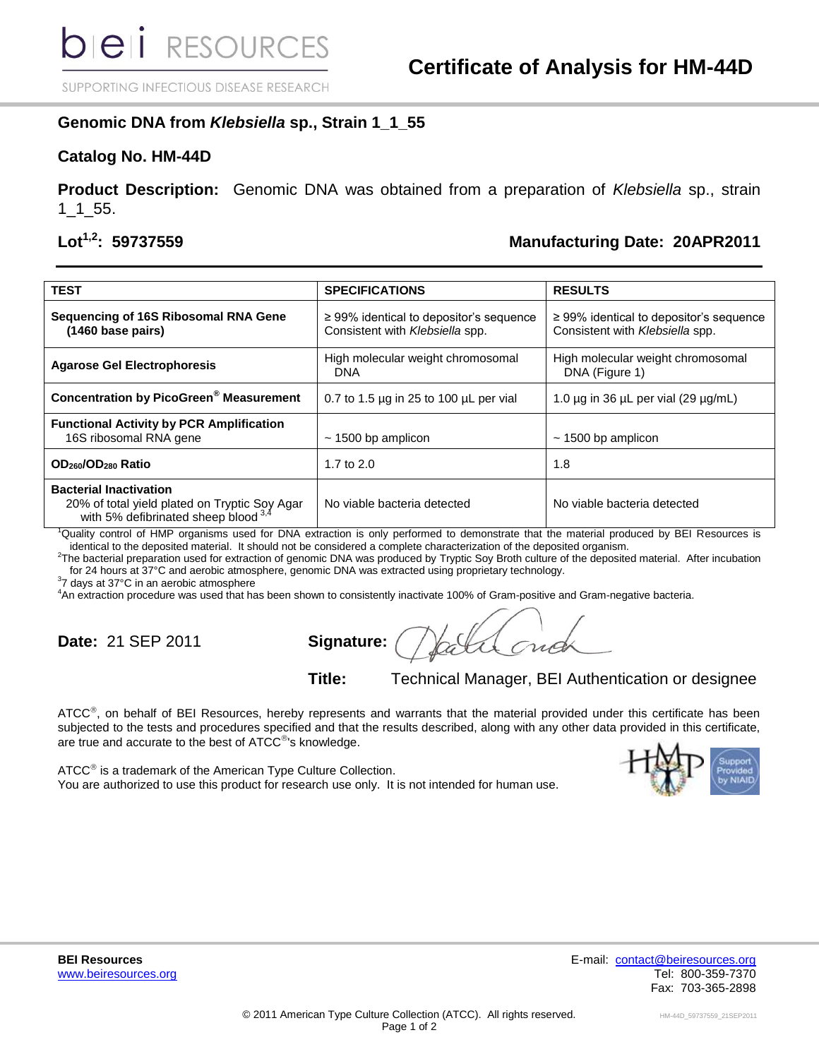SUPPORTING INFECTIOUS DISEASE RESEARCH

## **Genomic DNA from** *Klebsiella* **sp., Strain 1\_1\_55**

### **Catalog No. HM-44D**

**Product Description:** Genomic DNA was obtained from a preparation of *Klebsiella* sp., strain 1\_1\_55.

# **Lot1,2: 59737559 Manufacturing Date: 20APR2011**

| <b>TEST</b>                                                                                                            | <b>SPECIFICATIONS</b>                                                           | <b>RESULTS</b>                                                                  |
|------------------------------------------------------------------------------------------------------------------------|---------------------------------------------------------------------------------|---------------------------------------------------------------------------------|
| Sequencing of 16S Ribosomal RNA Gene<br>(1460 base pairs)                                                              | $\geq$ 99% identical to depositor's sequence<br>Consistent with Klebsiella spp. | $\geq$ 99% identical to depositor's sequence<br>Consistent with Klebsiella spp. |
| <b>Agarose Gel Electrophoresis</b>                                                                                     | High molecular weight chromosomal<br>DNA                                        | High molecular weight chromosomal<br>DNA (Figure 1)                             |
| <b>Concentration by PicoGreen<sup>®</sup> Measurement</b>                                                              | 0.7 to 1.5 $\mu$ g in 25 to 100 $\mu$ L per vial                                | 1.0 $\mu$ g in 36 $\mu$ L per vial (29 $\mu$ g/mL)                              |
| <b>Functional Activity by PCR Amplification</b><br>16S ribosomal RNA gene                                              | $\sim$ 1500 bp amplicon                                                         | $\sim$ 1500 bp amplicon                                                         |
| OD <sub>260</sub> /OD <sub>280</sub> Ratio                                                                             | 1.7 to $2.0$                                                                    | 1.8                                                                             |
| <b>Bacterial Inactivation</b><br>20% of total yield plated on Tryptic Soy Agar<br>with 5% defibrinated sheep blood 3.4 | No viable bacteria detected                                                     | No viable bacteria detected                                                     |

<sup>1</sup>Quality control of HMP organisms used for DNA extraction is only performed to demonstrate that the material produced by BEI Resources is identical to the deposited material. It should not be considered a complete characterization of the deposited organism.

<sup>2</sup>The bacterial preparation used for extraction of genomic DNA was produced by Tryptic Soy Broth culture of the deposited material. After incubation for 24 hours at 37°C and aerobic atmosphere, genomic DNA was extracted using proprietary technology.

 $37$  days at 37°C in an aerobic atmosphere

<sup>4</sup>An extraction procedure was used that has been shown to consistently inactivate 100% of Gram-positive and Gram-negative bacteria.

**Date:** 21 SEP 2011 **Signature:**

**Title:** Technical Manager, BEI Authentication or designee

ATCC<sup>®</sup>, on behalf of BEI Resources, hereby represents and warrants that the material provided under this certificate has been subjected to the tests and procedures specified and that the results described, along with any other data provided in this certificate, are true and accurate to the best of  $ATCC^{\circledast}$ 's knowledge.

ATCC<sup>®</sup> is a trademark of the American Type Culture Collection. You are authorized to use this product for research use only. It is not intended for human use.



**BEI Resources** E-mail: [contact@beiresources.org](mailto:contact@beiresources.org) [www.beiresources.org](http://www.beiresources.org/) **Tel: 800-359-7370** Fax: 703-365-2898